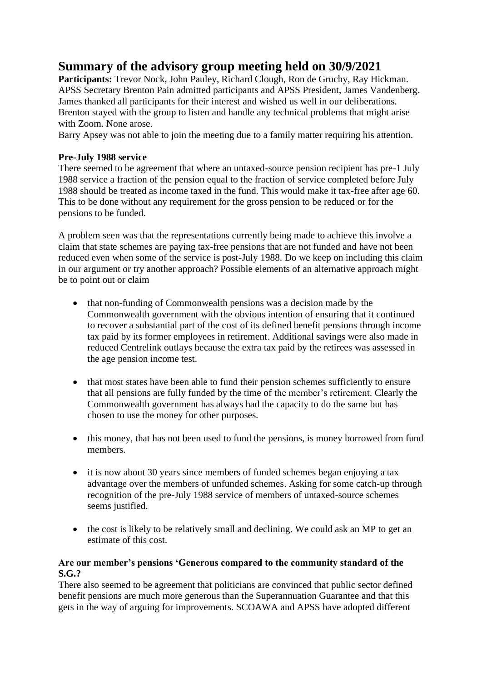## **Summary of the advisory group meeting held on 30/9/2021**

**Participants:** Trevor Nock, John Pauley, Richard Clough, Ron de Gruchy, Ray Hickman. APSS Secretary Brenton Pain admitted participants and APSS President, James Vandenberg. James thanked all participants for their interest and wished us well in our deliberations. Brenton stayed with the group to listen and handle any technical problems that might arise with Zoom. None arose.

Barry Apsey was not able to join the meeting due to a family matter requiring his attention.

## **Pre-July 1988 service**

There seemed to be agreement that where an untaxed-source pension recipient has pre-1 July 1988 service a fraction of the pension equal to the fraction of service completed before July 1988 should be treated as income taxed in the fund. This would make it tax-free after age 60. This to be done without any requirement for the gross pension to be reduced or for the pensions to be funded.

A problem seen was that the representations currently being made to achieve this involve a claim that state schemes are paying tax-free pensions that are not funded and have not been reduced even when some of the service is post-July 1988. Do we keep on including this claim in our argument or try another approach? Possible elements of an alternative approach might be to point out or claim

- that non-funding of Commonwealth pensions was a decision made by the Commonwealth government with the obvious intention of ensuring that it continued to recover a substantial part of the cost of its defined benefit pensions through income tax paid by its former employees in retirement. Additional savings were also made in reduced Centrelink outlays because the extra tax paid by the retirees was assessed in the age pension income test.
- that most states have been able to fund their pension schemes sufficiently to ensure that all pensions are fully funded by the time of the member's retirement. Clearly the Commonwealth government has always had the capacity to do the same but has chosen to use the money for other purposes.
- this money, that has not been used to fund the pensions, is money borrowed from fund members.
- it is now about 30 years since members of funded schemes began enjoying a tax advantage over the members of unfunded schemes. Asking for some catch-up through recognition of the pre-July 1988 service of members of untaxed-source schemes seems justified.
- the cost is likely to be relatively small and declining. We could ask an MP to get an estimate of this cost.

## **Are our member's pensions 'Generous compared to the community standard of the S.G.?**

There also seemed to be agreement that politicians are convinced that public sector defined benefit pensions are much more generous than the Superannuation Guarantee and that this gets in the way of arguing for improvements. SCOAWA and APSS have adopted different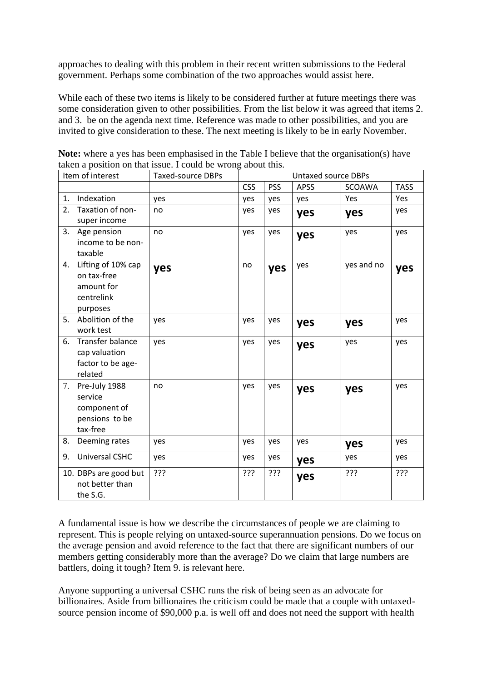approaches to dealing with this problem in their recent written submissions to the Federal government. Perhaps some combination of the two approaches would assist here.

While each of these two items is likely to be considered further at future meetings there was some consideration given to other possibilities. From the list below it was agreed that items 2. and 3. be on the agenda next time. Reference was made to other possibilities, and you are invited to give consideration to these. The next meeting is likely to be in early November.

| Item of interest |                                                                           | <b>Taxed-source DBPs</b> | <b>Untaxed source DBPs</b> |            |             |               |             |
|------------------|---------------------------------------------------------------------------|--------------------------|----------------------------|------------|-------------|---------------|-------------|
|                  |                                                                           |                          | <b>CSS</b>                 | <b>PSS</b> | <b>APSS</b> | <b>SCOAWA</b> | <b>TASS</b> |
| 1.               | Indexation                                                                | yes                      | yes                        | yes        | yes         | Yes           | Yes         |
| 2.               | Taxation of non-<br>super income                                          | no                       | yes                        | yes        | yes         | yes           | yes         |
| 3.               | Age pension<br>income to be non-<br>taxable                               | no                       | yes                        | yes        | yes         | yes           | yes         |
| 4.               | Lifting of 10% cap<br>on tax-free<br>amount for<br>centrelink<br>purposes | yes                      | no                         | yes        | yes         | yes and no    | yes         |
| 5.               | Abolition of the<br>work test                                             | yes                      | yes                        | yes        | yes         | yes           | yes         |
| 6.               | Transfer balance<br>cap valuation<br>factor to be age-<br>related         | yes                      | yes                        | yes        | yes         | yes           | yes         |
| 7.               | Pre-July 1988<br>service<br>component of<br>pensions to be<br>tax-free    | no                       | yes                        | yes        | yes         | yes           | yes         |
| 8.               | Deeming rates                                                             | yes                      | yes                        | yes        | yes         | yes           | yes         |
| 9.               | <b>Universal CSHC</b>                                                     | yes                      | yes                        | yes        | yes         | yes           | yes         |
|                  | 10. DBPs are good but<br>not better than<br>the S.G.                      | ???                      | ???                        | ???        | yes         | ???           | ???         |

**Note:** where a yes has been emphasised in the Table I believe that the organisation(s) have taken a position on that issue. I could be wrong about this.

A fundamental issue is how we describe the circumstances of people we are claiming to represent. This is people relying on untaxed-source superannuation pensions. Do we focus on the average pension and avoid reference to the fact that there are significant numbers of our members getting considerably more than the average? Do we claim that large numbers are battlers, doing it tough? Item 9. is relevant here.

Anyone supporting a universal CSHC runs the risk of being seen as an advocate for billionaires. Aside from billionaires the criticism could be made that a couple with untaxedsource pension income of \$90,000 p.a. is well off and does not need the support with health